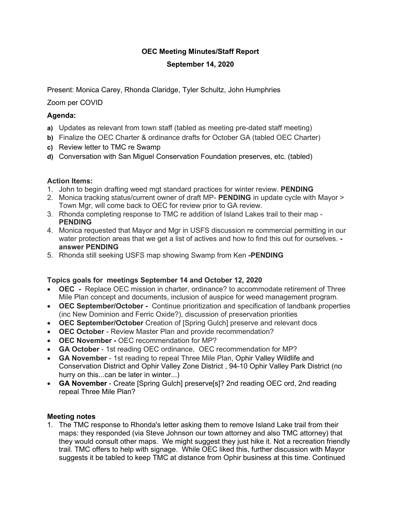# **OEC Meeting Minutes/Staff Report**

# **September 14, 2020**

Present: Monica Carey, Rhonda Claridge, Tyler Schultz, John Humphries

Zoom per COVID

# **Agenda:**

- **a)** Updates as relevant from town staff (tabled as meeting pre-dated staff meeting)
- **b)** Finalize the OEC Charter & ordinance drafts for October GA (tabled OEC Charter)
- **c)** Review letter to TMC re Swamp
- **d)** Conversation with San Miguel Conservation Foundation preserves, etc. (tabled)

# **Action Items:**

- 1. John to begin drafting weed mgt standard practices for winter review. **PENDING**
- 2. Monica tracking status/current owner of draft MP- **PENDING** in update cycle with Mayor > Town Mgr, will come back to OEC for review prior to GA review.
- 3. Rhonda completing response to TMC re addition of Island Lakes trail to their map **PENDING**
- 4. Monica requested that Mayor and Mgr in USFS discussion re commercial permitting in our water protection areas that we get a list of actives and how to find this out for ourselves.  **answer PENDING**
- 5. Rhonda still seeking USFS map showing Swamp from Ken **-PENDING**

#### **Topics goals for meetings September 14 and October 12, 2020**

- **OEC** Replace OEC mission in charter, ordinance? to accommodate retirement of Three Mile Plan concept and documents, inclusion of auspice for weed management program.
- **OEC September/October** Continue prioritization and specification of landbank properties (inc New Dominion and Ferric Oxide?), discussion of preservation priorities
- **OEC September/October** Creation of [Spring Gulch] preserve and relevant docs
- **OEC October** Review Master Plan and provide recommendation?
- **OEC November -** OEC recommendation for MP?
- **GA October** 1st reading OEC ordinance, OEC recommendation for MP?
- **GA November** 1st reading to repeal Three Mile Plan, Ophir Valley Wildlife and Conservation District and Ophir Valley Zone District , 94-10 Ophir Valley Park District (no hurry on this...can be later in winter...)
- **GA November** Create [Spring Gulch] preserve[s]? 2nd reading OEC ord, 2nd reading repeal Three Mile Plan?

#### **Meeting notes**

1. The TMC response to Rhonda's letter asking them to remove Island Lake trail from their maps: they responded (via Steve Johnson our town attorney and also TMC attorney) that they would consult other maps. We might suggest they just hike it. Not a recreation friendly trail. TMC offers to help with signage. While OEC liked this, further discussion with Mayor suggests it be tabled to keep TMC at distance from Ophir business at this time. Continued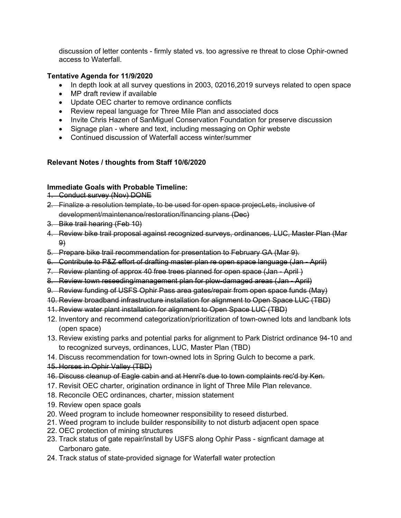discussion of letter contents - firmly stated vs. too agressive re threat to close Ophir-owned access to Waterfall.

# **Tentative Agenda for 11/9/2020**

- In depth look at all survey questions in 2003, 02016, 2019 surveys related to open space
- MP draft review if available
- Update OEC charter to remove ordinance conflicts
- Review repeal language for Three Mile Plan and associated docs
- Invite Chris Hazen of SanMiguel Conservation Foundation for preserve discussion
- Signage plan where and text, including messaging on Ophir webste
- Continued discussion of Waterfall access winter/summer

# **Relevant Notes / thoughts from Staff 10/6/2020**

# **Immediate Goals with Probable Timeline:**

- 1. Conduct survey (Nov) DONE
- 2. Finalize a resolution template, to be used for open space projecLets, inclusive of development/maintenance/restoration/financing plans (Dec)
- 3. Bike trail hearing (Feb 10)
- 4. Review bike trail proposal against recognized surveys, ordinances, LUC, Master Plan (Mar 9)
- 5. Prepare bike trail recommendation for presentation to February GA (Mar 9).
- 6. Contribute to P&Z effort of drafting master plan re open space language (Jan April)
- 7. Review planting of approx 40 free trees planned for open space (Jan April )
- 8. Review town reseeding/management plan for plow-damaged areas (Jan April)
- 9. Review funding of USFS Ophir Pass area gates/repair from open space funds (May)
- 10. Review broadband infrastructure installation for alignment to Open Space LUC (TBD)
- 11. Review water plant installation for alignment to Open Space LUC (TBD)
- 12. Inventory and recommend categorization/prioritization of town-owned lots and landbank lots (open space)
- 13. Review existing parks and potential parks for alignment to Park District ordinance 94-10 and to recognized surveys, ordinances, LUC, Master Plan (TBD)
- 14. Discuss recommendation for town-owned lots in Spring Gulch to become a park.
- 15. Horses in Ophir Valley (TBD)
- 16. Discuss cleanup of Eagle cabin and at Henri's due to town complaints rec'd by Ken.
- 17. Revisit OEC charter, origination ordinance in light of Three Mile Plan relevance.
- 18. Reconcile OEC ordinances, charter, mission statement
- 19. Review open space goals
- 20. Weed program to include homeowner responsibility to reseed disturbed.
- 21. Weed program to include builder responsibility to not disturb adjacent open space
- 22. OEC protection of mining structures
- 23. Track status of gate repair/install by USFS along Ophir Pass signficant damage at Carbonaro gate.
- 24. Track status of state-provided signage for Waterfall water protection